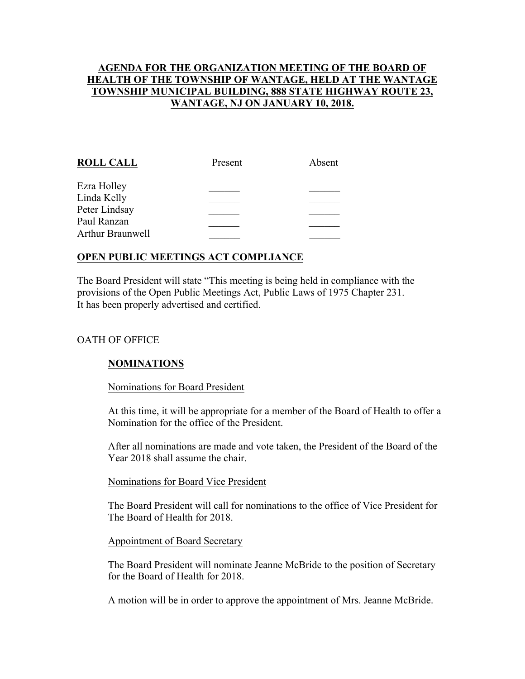# **AGENDA FOR THE ORGANIZATION MEETING OF THE BOARD OF HEALTH OF THE TOWNSHIP OF WANTAGE, HELD AT THE WANTAGE TOWNSHIP MUNICIPAL BUILDING, 888 STATE HIGHWAY ROUTE 23, WANTAGE, NJ ON JANUARY 10, 2018.**

| <b>ROLL CALL</b> | Present | Absent |
|------------------|---------|--------|
| Ezra Holley      |         |        |
| Linda Kelly      |         |        |
| Peter Lindsay    |         |        |
| Paul Ranzan      |         |        |
| Arthur Braunwell |         |        |
|                  |         |        |

# **OPEN PUBLIC MEETINGS ACT COMPLIANCE**

The Board President will state "This meeting is being held in compliance with the provisions of the Open Public Meetings Act, Public Laws of 1975 Chapter 231. It has been properly advertised and certified.

# OATH OF OFFICE

#### **NOMINATIONS**

#### Nominations for Board President

At this time, it will be appropriate for a member of the Board of Health to offer a Nomination for the office of the President.

After all nominations are made and vote taken, the President of the Board of the Year 2018 shall assume the chair.

#### Nominations for Board Vice President

The Board President will call for nominations to the office of Vice President for The Board of Health for 2018.

#### Appointment of Board Secretary

The Board President will nominate Jeanne McBride to the position of Secretary for the Board of Health for 2018.

A motion will be in order to approve the appointment of Mrs. Jeanne McBride.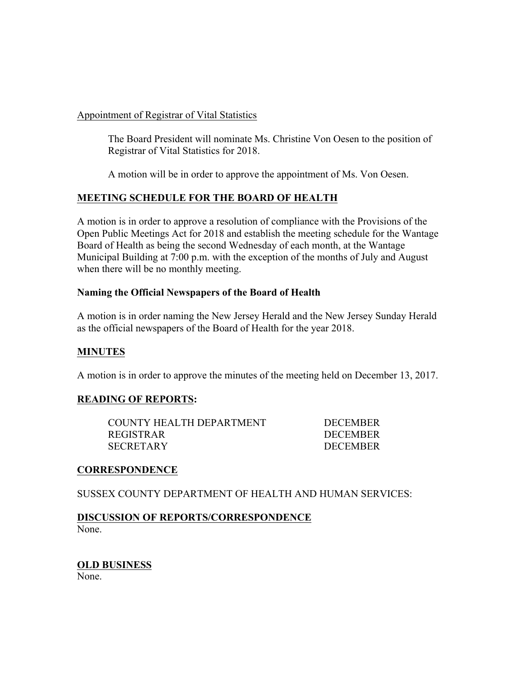#### Appointment of Registrar of Vital Statistics

The Board President will nominate Ms. Christine Von Oesen to the position of Registrar of Vital Statistics for 2018.

A motion will be in order to approve the appointment of Ms. Von Oesen.

# **MEETING SCHEDULE FOR THE BOARD OF HEALTH**

A motion is in order to approve a resolution of compliance with the Provisions of the Open Public Meetings Act for 2018 and establish the meeting schedule for the Wantage Board of Health as being the second Wednesday of each month, at the Wantage Municipal Building at 7:00 p.m. with the exception of the months of July and August when there will be no monthly meeting.

# **Naming the Official Newspapers of the Board of Health**

A motion is in order naming the New Jersey Herald and the New Jersey Sunday Herald as the official newspapers of the Board of Health for the year 2018.

# **MINUTES**

A motion is in order to approve the minutes of the meeting held on December 13, 2017.

# **READING OF REPORTS:**

COUNTY HEALTH DEPARTMENT DECEMBER REGISTRAR DECEMBER SECRETARY DECEMBER

#### **CORRESPONDENCE**

SUSSEX COUNTY DEPARTMENT OF HEALTH AND HUMAN SERVICES:

**DISCUSSION OF REPORTS/CORRESPONDENCE** None.

# **OLD BUSINESS**

None.